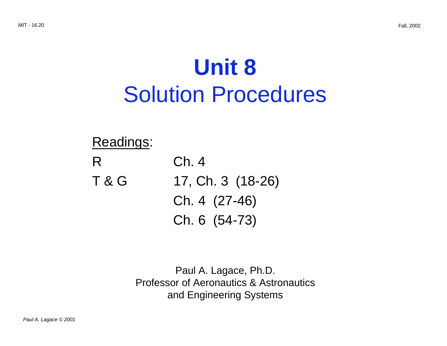# **Unit 8**  Solution Procedures

## Readings: R Ch. 4 T & G 17, Ch. 3 (18-26) Ch. 4 (27-46) Ch. 6 (54-73)

Paul A. Lagace, Ph.D. Professor of Aeronautics & Astronautics and Engineering Systems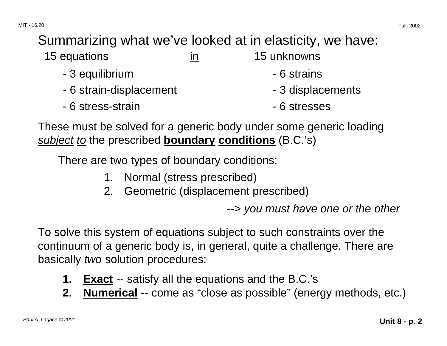### Summarizing what we've looked at in elasticity, we have:

| 15 equations            | ın | 15 unknowns       |
|-------------------------|----|-------------------|
| - 3 equilibrium         |    | - 6 strains       |
| - 6 strain-displacement |    | - 3 displacements |
| - 6 stress-strain       |    | - 6 stresses      |

These must be solved for a generic body under some generic loading subject to the prescribed **boundary conditions** (B.C.'s)

There are two types of boundary conditions:

- 1. Normal (stress prescribed)
- 2. Geometric (displacement prescribed)

--> you must have one or the other

To solve this system of equations subject to such constraints over the continuum of a generic body is, in general, quite a challenge. There are basically two solution procedures:

- **1. Exact** -- satisfy all the equations and the B.C.'s
- **2. Numerical** -- come as "close as possible" (energy methods, etc.)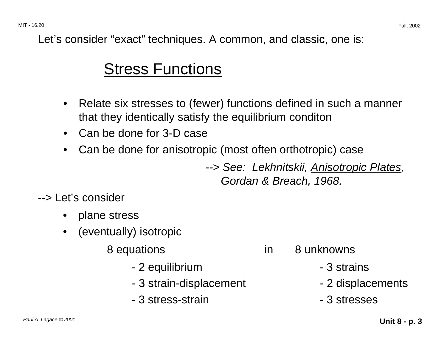Let's consider "exact" techniques. A common, and classic, one is:

## Stress Functions

- Relate six stresses to (fewer) functions defined in such a manner that they identically satisfy the equilibrium conditon
- Can be done for 3-D case
- Can be done for anisotropic (most often orthotropic) case

--> See: Lekhnitskii, Anisotropic Plates, Gordan & Breach, 1968.

--> Let's consider

- plane stress
- (eventually) isotropic
	- 8 equations in 8 unknowns
		- 2 equilibrium contracts and the set of  $\sim$  3 strains
		- 3 strain-displacement 2 displacements
		- 3 stress-strain 3 stresses
- -
	-
	-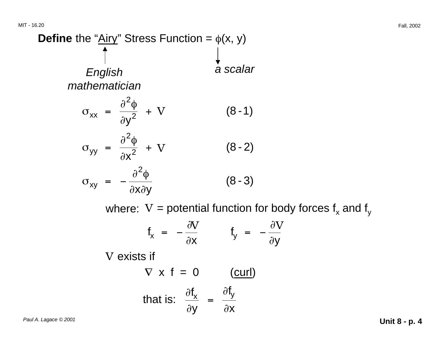# **Define** the " $Airy$ " Stress Function =  $\phi$ (x, y) English a scalar mathematician  $\sigma_{xx} = \frac{\partial^2 \phi}{\partial y^2} + V$  (8-1)  $\sigma_{yy} = \frac{\partial^2 \phi}{\partial x^2} + V$  (8-2)  $\sigma_{xy} = -\frac{\partial^2 \phi}{\partial x \partial y}$  (8 - 3) where:  $V =$  potential function for body forces  $f_x$  and  $f_y$

$$
f_x = -\frac{\partial V}{\partial x}
$$
  $f_y = -\frac{\partial V}{\partial y}$ 

V exists if

$$
\nabla \times \mathbf{f} = 0 \qquad \text{(curl)}
$$
\nthat is:

\n
$$
\frac{\partial \mathbf{f}_x}{\partial y} = \frac{\partial \mathbf{f}_y}{\partial x}
$$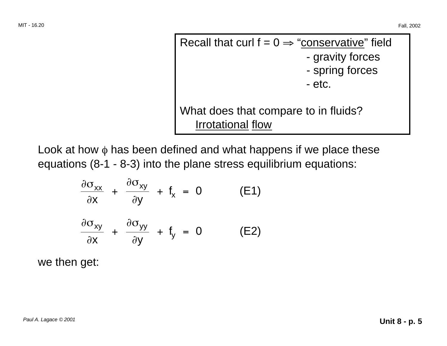Recall that curl  $f = 0 \Rightarrow$  "conservative" field - gravity forces - spring forces - etc. What does that compare to in fluids? Irrotational flow

Look at how  $\phi$  has been defined and what happens if we place these equations (8-1 - 8-3) into the plane stress equilibrium equations:

$$
\frac{\partial \sigma_{xx}}{\partial x} + \frac{\partial \sigma_{xy}}{\partial y} + f_x = 0 \qquad (E1)
$$
  

$$
\frac{\partial \sigma_{xy}}{\partial x} + \frac{\partial \sigma_{yy}}{\partial y} + f_y = 0 \qquad (E2)
$$

we then get: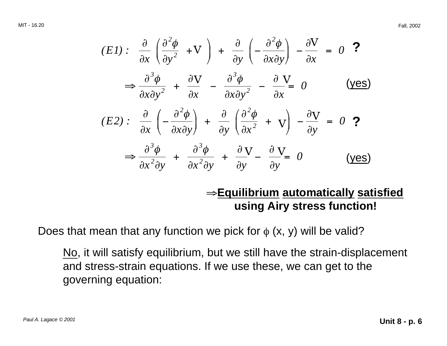MIT - 16.20 Fall, 2002

$$
(E1): \frac{\partial}{\partial x} \left( \frac{\partial^2 \phi}{\partial y^2} + V \right) + \frac{\partial}{\partial y} \left( -\frac{\partial^2 \phi}{\partial x \partial y} \right) - \frac{\partial V}{\partial x} = 0 \quad \text{?}
$$
\n
$$
\Rightarrow \frac{\partial^3 \phi}{\partial x \partial y^2} + \frac{\partial V}{\partial x} - \frac{\partial^3 \phi}{\partial x \partial y^2} - \frac{\partial V}{\partial x} = 0 \quad \text{(yes)}
$$
\n
$$
(E2): \frac{\partial}{\partial x} \left( -\frac{\partial^2 \phi}{\partial x \partial y} \right) + \frac{\partial}{\partial y} \left( \frac{\partial^2 \phi}{\partial x^2} + V \right) - \frac{\partial V}{\partial y} = 0 \quad \text{?}
$$
\n
$$
\Rightarrow \frac{\partial^3 \phi}{\partial x^2 \partial y} + \frac{\partial^3 \phi}{\partial x^2 \partial y} + \frac{\partial V}{\partial y} - \frac{\partial V}{\partial y} = 0 \quad \text{(yes)}
$$

#### <sup>⇒</sup>**Equilibrium automatically satisfied using Airy stress function!**

Does that mean that any function we pick for  $\phi$  (x, y) will be valid?

No, it will satisfy equilibrium, but we still have the strain-displacement and stress-strain equations. If we use these, we can get to the governing equation: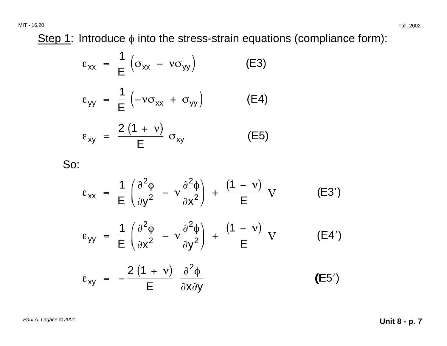MIT - 16.20 Fall, 2002

Step 1: Introduce  $\phi$  into the stress-strain equations (compliance form):

$$
\varepsilon_{xx} = \frac{1}{E} \left( \sigma_{xx} - v \sigma_{yy} \right) \qquad (E3)
$$
  
\n
$$
\varepsilon_{yy} = \frac{1}{E} \left( -v \sigma_{xx} + \sigma_{yy} \right) \qquad (E4)
$$
  
\n
$$
\varepsilon_{xy} = \frac{2 (1 + v)}{E} \sigma_{xy} \qquad (E5)
$$

So:

$$
\varepsilon_{xx} = \frac{1}{E} \left( \frac{\partial^2 \phi}{\partial y^2} - v \frac{\partial^2 \phi}{\partial x^2} \right) + \frac{(1 - v)}{E} \text{ V} \qquad (E3')
$$
\n
$$
\varepsilon_{yy} = \frac{1}{E} \left( \frac{\partial^2 \phi}{\partial x^2} - v \frac{\partial^2 \phi}{\partial y^2} \right) + \frac{(1 - v)}{E} \text{ V} \qquad (E4')
$$
\n
$$
\varepsilon_{xy} = -\frac{2 (1 + v)}{E} \frac{\partial^2 \phi}{\partial x \partial y} \qquad (E5')
$$

Paul A. Lagace © 2001 **Unit 8 - p. 7**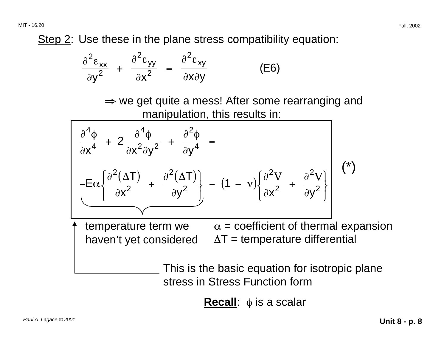Step 2: Use these in the plane stress compatibility equation:

$$
\frac{\partial^2 \varepsilon_{xx}}{\partial y^2} + \frac{\partial^2 \varepsilon_{yy}}{\partial x^2} = \frac{\partial^2 \varepsilon_{xy}}{\partial x \partial y}
$$
 (E6)

 $\Rightarrow$  we get quite a mess! After some rearranging and manipulation, this results in:



temperature term we  $\qquad \alpha =$  coefficient of thermal expansion haven't yet considered  $\Delta T$  = temperature differential

> This is the basic equation for isotropic plane stress in Stress Function form

> > **Recall**: φ is a scalar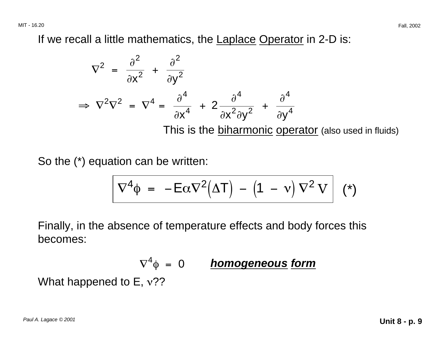If we recall a little mathematics, the Laplace Operator in 2-D is:

$$
\nabla^{2} = \frac{\partial^{2}}{\partial x^{2}} + \frac{\partial^{2}}{\partial y^{2}}
$$
  
\n
$$
\Rightarrow \nabla^{2} \nabla^{2} = \nabla^{4} = \frac{\partial^{4}}{\partial x^{4}} + 2 \frac{\partial^{4}}{\partial x^{2} \partial y^{2}} + \frac{\partial^{4}}{\partial y^{4}}
$$
  
\nThis is the biharmonic operator (also used in fluids)

So the (\*) equation can be written:

$$
\nabla^4 \phi = -E\alpha \nabla^2 (\Delta T) - (1 - v) \nabla^2 V \mid (*)
$$

Finally, in the absence of temperature effects and body forces this becomes:

$$
\nabla^4 \phi = 0
$$
 **homogeneous form**  
What happened to E, v??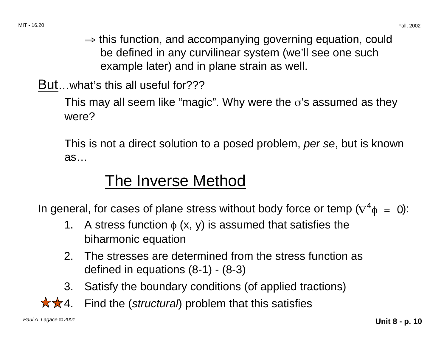- <sup>⇒</sup> this function, and accompanying governing equation, could be defined in any curvilinear system (we'll see one such example later) and in plane strain as well.
- But…what's this all useful for???

This may all seem like "magic". Why were the  $\sigma$ 's assumed as they were?

This is not a direct solution to a posed problem, per se, but is known as…

## The Inverse Method

In general, for cases of plane stress without body force or temp ( $\nabla^4 \phi = 0$ ):

- 1. A stress function  $\phi$  (x, y) is assumed that satisfies the biharmonic equation
- 2. The stresses are determined from the stress function as defined in equations (8-1) - (8-3)
- 3. Satisfy the boundary conditions (of applied tractions)
- $\star\star$ 4. Find the (structural) problem that this satisfies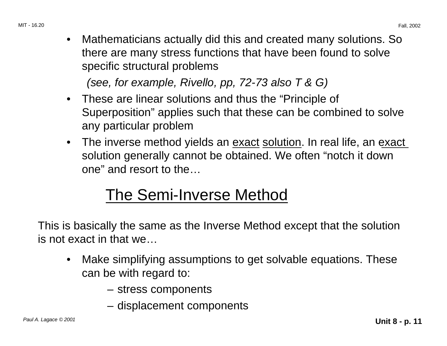• Mathematicians actually did this and created many solutions. So there are many stress functions that have been found to solve specific structural problems

(see, for example, Rivello, pp, 72-73 also T & G)

- These are linear solutions and thus the "Principle of Superposition" applies such that these can be combined to solve any particular problem
- The inverse method yields an <u>exact solution</u>. In real life, an exact solution generally cannot be obtained. We often "notch it down one" and resort to the…

## The Semi-Inverse Method

This is basically the same as the Inverse Method except that the solution is not exact in that we…

- Make simplifying assumptions to get solvable equations. These can be with regard to:
	- stress components
	- displacement components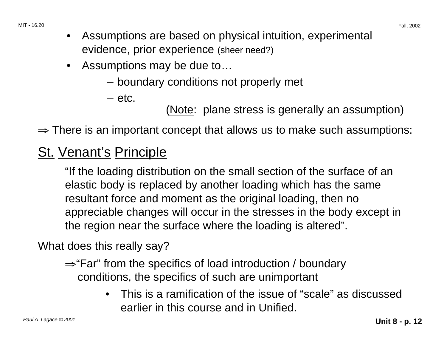MIT - 16.20 Fall, 2002

- Assumptions are based on physical intuition, experimental evidence, prior experience (sheer need?)
- Assumptions may be due to…
	- boundary conditions not properly met
	- etc.

(Note: plane stress is generally an assumption)

 $\Rightarrow$  There is an important concept that allows us to make such assumptions:

## St. Venant's Principle

"If the loading distribution on the small section of the surface of an elastic body is replaced by another loading which has the same resultant force and moment as the original loading, then no appreciable changes will occur in the stresses in the body except in the region near the surface where the loading is altered".

What does this really say?

- <sup>⇒</sup>"Far" from the specifics of load introduction / boundary conditions, the specifics of such are unimportant
	- This is a ramification of the issue of "scale" as discussed earlier in this course and in Unified.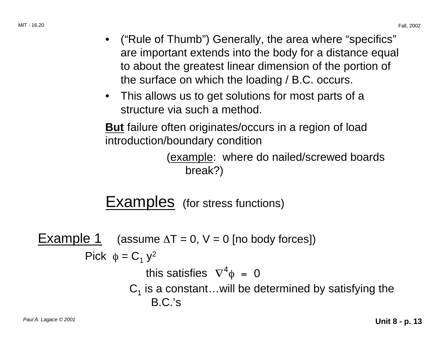- ("Rule of Thumb") Generally, the area where "specifics" are important extends into the body for a distance equal to about the greatest linear dimension of the portion of the surface on which the loading / B.C. occurs.
- This allows us to get solutions for most parts of a structure via such a method.

**But** failure often originates/occurs in a region of load introduction/boundary condition

> (example: where do nailed/screwed boards break?)

Examples (for stress functions)

Example 1 (assume  $\Delta T = 0$ ,  $V = 0$  [no body forces]) Pick  $\phi = C_1 y^2$ this satisfies  $\nabla^4 \phi = 0$  $C_1$  is a constant...will be determined by satisfying the B.C.'s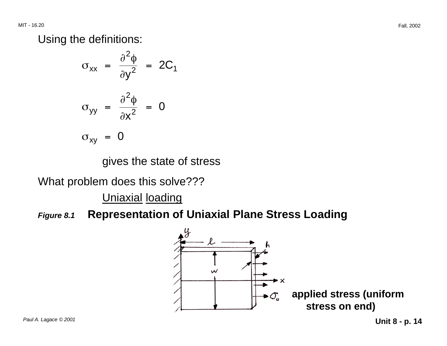Using the definitions:

$$
\sigma_{xx} = \frac{\partial^2 \phi}{\partial y^2} = 2C_1
$$
  

$$
\sigma_{yy} = \frac{\partial^2 \phi}{\partial x^2} = 0
$$
  

$$
\sigma_{xy} = 0
$$

gives the state of stress

What problem does this solve???

Uniaxial loading

**Figure 8.1 Representation of Uniaxial Plane Stress Loading** 

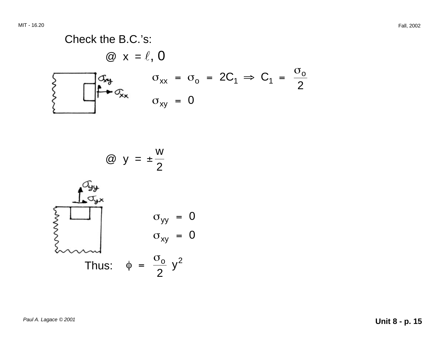#### Check the B.C.'s:  $\omega$  x =  $\ell$ , 0  $\sigma_{xx} = \sigma_o = 2C_1 \Rightarrow C_1 = \frac{\sigma_o}{2}$ Ing  $\bullet$   $\sigma_{\mathsf{xx}}$  $\sigma_{xy}$  =  $0$

$$
\textcircled{2} \ \ y = \pm \frac{w}{2}
$$

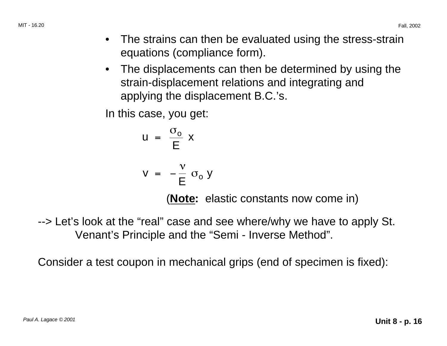- The strains can then be evaluated using the stress-strain equations (compliance form).
- The displacements can then be determined by using the strain-displacement relations and integrating and applying the displacement B.C.'s.

In this case, you get:

$$
u = \frac{\sigma_o}{E} x
$$

$$
v = -\frac{v}{E} \sigma_0 y
$$

(**Note:** elastic constants now come in)

--> Let's look at the "real" case and see where/why we have to apply St. Venant's Principle and the "Semi - Inverse Method".

Consider a test coupon in mechanical grips (end of specimen is fixed):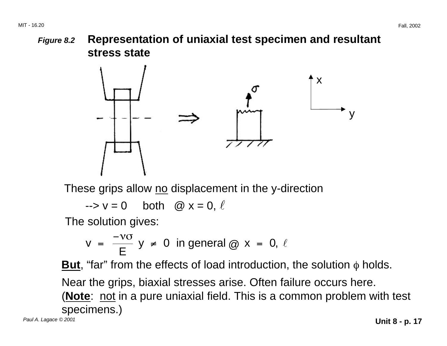**Figure 8.2 Representation of uniaxial test specimen and resultant stress state** 



These grips allow no displacement in the y-direction

 $\rightarrow$  v = 0 both @ x = 0,  $\ell$ 

The solution gives:

$$
v = \frac{-v \sigma}{E} y \neq 0 \text{ in general } \textcircled{a} x = 0, \ell
$$

**But**, "far" from the effects of load introduction, the solution  $\phi$  holds.

Near the grips, biaxial stresses arise. Often failure occurs here.

(**Note**: not in a pure uniaxial field. This is a common problem with test specimens.) Paul A. Lagace © 2001 **Unit 8 - p. 17**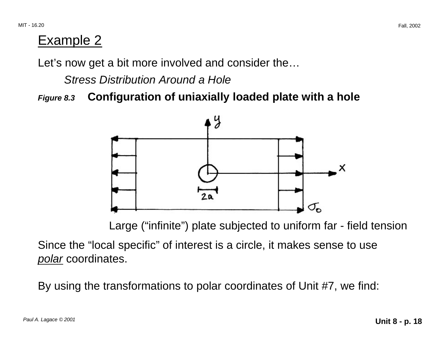#### Example 2

Let's now get a bit more involved and consider the…

Stress Distribution Around a Hole

**Figure 8.3 Configuration of uniaxially loaded plate with a hole** 



Large ("infinite") plate subjected to uniform far - field tension

Since the "local specific" of interest is a circle, it makes sense to use polar coordinates.

By using the transformations to polar coordinates of Unit #7, we find: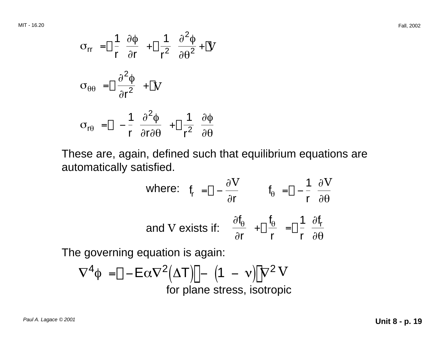$$
\sigma_{rr} = \Box \frac{1}{r} \frac{\partial \phi}{\partial r} + \Box \frac{1}{r^2} \frac{\partial^2 \phi}{\partial \theta^2} + \Box V
$$
  

$$
\sigma_{\theta\theta} = \Box \frac{\partial^2 \phi}{\partial r^2} + \Box V
$$
  

$$
\sigma_{r\theta} = \Box - \frac{1}{r} \frac{\partial^2 \phi}{\partial r \partial \theta} + \Box \frac{1}{r^2} \frac{\partial \phi}{\partial \theta}
$$

These are, again, defined such that equilibrium equations are automatically satisfied.

where: 
$$
f_r = \frac{\partial V}{\partial r}
$$
  $f_\theta = \frac{\partial - \frac{1}{r}}{\partial \theta} \frac{\partial V}{\partial \theta}$   
and V exists if:  $\frac{\partial f_\theta}{\partial r} + \frac{f_\theta}{r} = \frac{1}{r} \frac{\partial f_r}{\partial \theta}$ 

The governing equation is again:

$$
\nabla^{4} \phi = \left[-E\alpha \nabla^{2}(\Delta T)\right] - (1 - v)\left[\nabla^{2} V\right]
$$
  
for plane stress, isotropic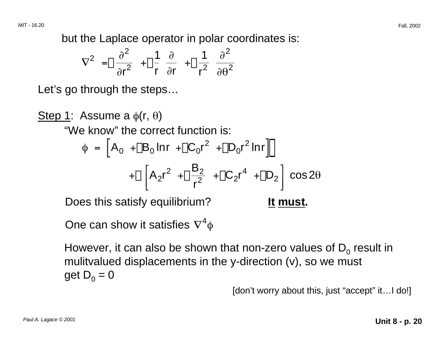but the Laplace operator in polar coordinates is:

$$
\nabla^2 = \left[\begin{array}{cc} \frac{\partial^2}{\partial r^2} & + \left[\begin{array}{cc} 1 & \frac{\partial}{\partial r} & + \left[\begin{array}{cc} 1 & \frac{\partial}{\partial^2} \\ r & \frac{\partial}{\partial r} \end{array} \right] \end{array}\right]\right]
$$

Let's go through the steps…

 $+ \Box \left[ A_2 r^2 + \Box \frac{B_2}{r^2} + \Box C_2 r^4 + \Box D_2 \right] \cos 2\theta$ Step 1: Assume a  $\phi(r, \theta)$ "We know" the correct function is:  $\phi = [A_0 + B_0 \ln r] + [C_0 r^2 + D_0 r^2 \ln r]$ 

Does this satisfy equilibrium? **It must.** 

One can show it satisfies  $\nabla^4 \phi$ 

However, it can also be shown that non-zero values of  $D_0$  result in mulitvalued displacements in the y-direction (v), so we must get  $D_0 = 0$ 

[don't worry about this, just "accept" it…I do!]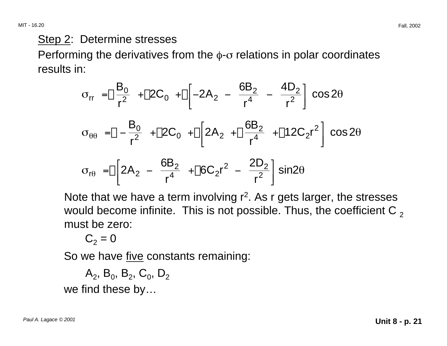Step 2: Determine stresses

Performing the derivatives from the  $\phi$ - $\sigma$  relations in polar coordinates results in:

$$
\sigma_{rr} = \left[\frac{B_0}{r^2} + \left[2C_0 + \frac{C_0}{r^4}\right] - 2A_2 - \frac{6B_2}{r^4} - \frac{4D_2}{r^2}\right] \cos 2\theta
$$
  
\n
$$
\sigma_{\theta\theta} = \left[-\frac{B_0}{r^2} + \left[2C_0 + \frac{C_0}{r^4}\right] - \frac{6B_2}{r^4} + \left[12C_2r^2\right] \cos 2\theta
$$
  
\n
$$
\sigma_{r\theta} = \left[\frac{2A_2 - \frac{6B_2}{r^4} + \left[6C_2r^2 - \frac{2D_2}{r^2}\right] \sin 2\theta\right]
$$

Note that we have a term involving  $r^2$ . As r gets larger, the stresses would become infinite. This is not possible. Thus, the coefficient C  $_2$ must be zero:

$$
C_2 = 0
$$

So we have five constants remaining:

 $A_2$ , B<sub>0</sub>, B<sub>2</sub>, C<sub>0</sub>, D<sub>2</sub>

we find these by…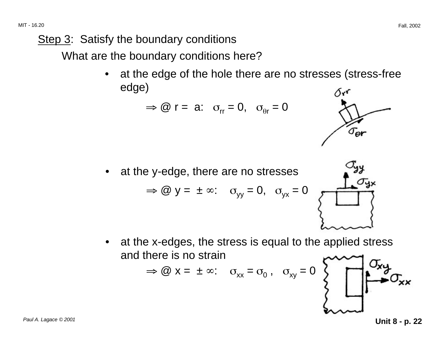Step 3: Satisfy the boundary conditions

What are the boundary conditions here?

at the edge of the hole there are no stresses (stress-free edge)  $\delta r$ 

$$
\Rightarrow
$$
 @ r = a:  $\sigma_{rr} = 0$ ,  $\sigma_{\theta r} = 0$ 

at the y-edge, there are no stresses  $\Rightarrow$  @ y = ±  $\infty$ :  $\sigma_{yy} = 0$ ,  $\sigma_{yx} = 0$ 

at the x-edges, the stress is equal to the applied stress and there is no strain

$$
\Rightarrow @ x = \pm \infty: \quad \sigma_{xx} = \sigma_0 \,, \quad \sigma_{xy} = 0
$$





 $\sigma_{\rm er}$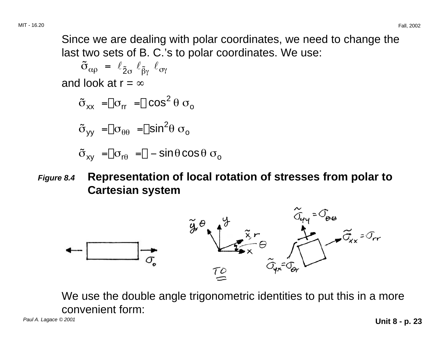Since we are dealing with polar coordinates, we need to change the last two sets of B. C.'s to polar coordinates. We use:

 $\tilde{\sigma}_{\alpha\rho} = \ell_{\tilde{2}\sigma} \ell_{\tilde{\beta}\gamma} \ell_{\sigma\gamma}$ and look at  $r = \infty$ 

$$
\tilde{\sigma}_{xx} = \begin{bmatrix} \sigma_{rr} & - \end{bmatrix} \cos^2 \theta \sigma_o
$$

$$
\tilde{\sigma}_{yy} = \begin{bmatrix} \sigma_{\theta\theta} & -\end{bmatrix} \sin^2\theta \sigma_o
$$

 $\tilde{\sigma}_{xy} = \begin{bmatrix} \sigma_{r\theta} & -\sigma \end{bmatrix} - \sin \theta \cos \theta \sigma_{0}$ 

**Figure 8.4 Representation of local rotation of stresses from polar to Cartesian system** 



We use the double angle trigonometric identities to put this in a more convenient form: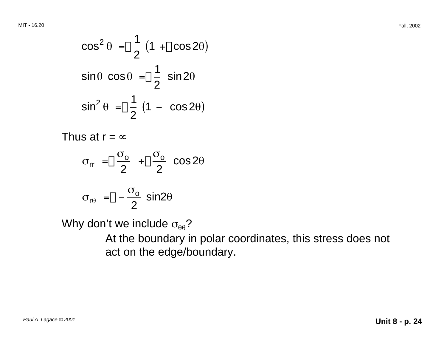$$
\cos^2 \theta = \frac{1}{2} \left( 1 + \cos 2\theta \right)
$$
  
\n
$$
\sin \theta \cos \theta = \frac{1}{2} \sin 2\theta
$$
  
\n
$$
\sin^2 \theta = \frac{1}{2} \left( 1 - \cos 2\theta \right)
$$

Thus at  $r = \infty$ 

$$
\sigma_{rr} = \frac{\sigma_o}{2} + \frac{\sigma_o}{2} \cos 2\theta
$$

$$
\sigma_{\text{r}\theta} = \Box - \frac{\sigma_{\text{o}}}{2} \sin 2\theta
$$

Why don't we include  $\sigma_{\theta\theta}$ ?

At the boundary in polar coordinates, this stress does not act on the edge/boundary.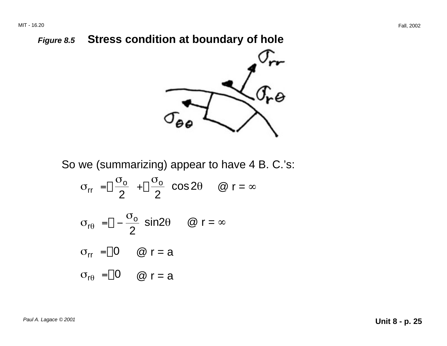#### **Figure 8.5 Stress condition at boundary of hole**



So we (summarizing) appear to have 4 B. C.'s:

$$
\sigma_{rr} = \frac{\sigma_o}{2} + \frac{\sigma_o}{2} \cos 2\theta \quad \text{or} \quad \omega r = \infty
$$
  

$$
\sigma_{r\theta} = \frac{\sigma_o}{2} \sin 2\theta \quad \text{or} \quad r = \infty
$$
  

$$
\sigma_{rr} = \frac{\sigma_o}{2} \text{or} \quad \omega r = a
$$
  

$$
\sigma_{r\theta} = \frac{\sigma_o}{2} \text{or} \quad \omega r = a
$$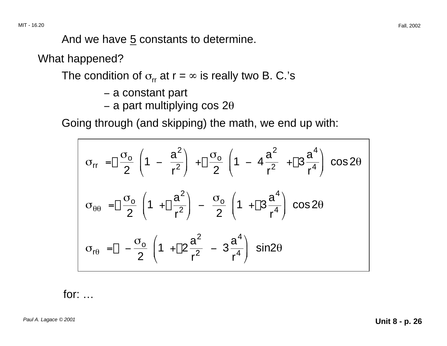And we have  $5$  constants to determine.

What happened?

The condition of  $\sigma_{rr}$  at  $r = \infty$  is really two B. C.'s

- − a constant part
- −– a part multiplying cos 2 $\theta$

Going through (and skipping) the math, we end up with:

$$
\sigma_{rr} = \boxed{\frac{\sigma_o}{2} \left(1 - \frac{a^2}{r^2}\right) + \boxed{\frac{\sigma_o}{2} \left(1 - 4\frac{a^2}{r^2} + \boxed{3}\frac{a^4}{r^4}\right) \cos 2\theta}
$$
\n
$$
\sigma_{\theta\theta} = \boxed{\frac{\sigma_o}{2} \left(1 + \boxed{\frac{a^2}{r^2}}\right) - \frac{\sigma_o}{2} \left(1 + \boxed{3}\frac{a^4}{r^4}\right) \cos 2\theta}
$$
\n
$$
\sigma_{r\theta} = \boxed{-\frac{\sigma_o}{2} \left(1 + \boxed{2}\frac{a^2}{r^2} - 3\frac{a^4}{r^4}\right) \sin 2\theta}
$$

for: …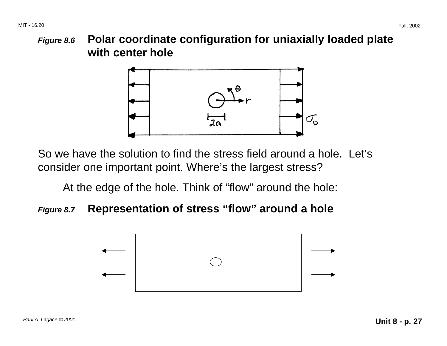**Figure 8.6 Polar coordinate configuration for uniaxially loaded plate with center hole** 



So we have the solution to find the stress field around a hole. Let's consider one important point. Where's the largest stress?

At the edge of the hole. Think of "flow" around the hole:

#### **Figure 8.7 Representation of stress "flow" around a hole**

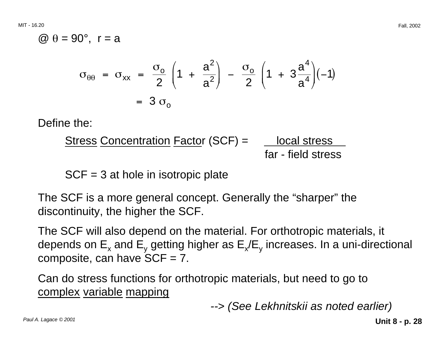$@ θ = 90°$ , r = a

$$
\sigma_{\theta\theta} = \sigma_{xx} = \frac{\sigma_o}{2} \left( 1 + \frac{a^2}{a^2} \right) - \frac{\sigma_o}{2} \left( 1 + 3\frac{a^4}{a^4} \right) (-1)
$$
  
= 3 \sigma\_o

Define the:

Stress Concentration Factor (SCF) = 
$$
\frac{\text{local stress}}{\text{far - field stress}}
$$

SCF = 3 at hole in isotropic plate

The SCF is a more general concept. Generally the "sharper" the discontinuity, the higher the SCF.

The SCF will also depend on the material. For orthotropic materials, it depends on  $E_x$  and  $E_y$  getting higher as  $E_x/E_y$  increases. In a uni-directional composite, can have  $SCF = 7$ .

Can do stress functions for orthotropic materials, but need to go to complex variable mapping

--> (See Lekhnitskii as noted earlier)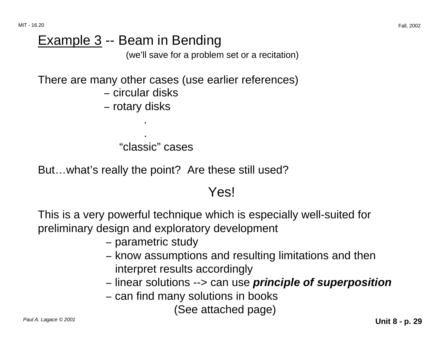MIT - 16.20 Fall, 2002

## Example 3 -- Beam in Bending

(we'll save for a problem set or a recitation)

There are many other cases (use earlier references)

− circular disks

.

.

<sup>−</sup> rotary disks

"classic" cases

But…what's really the point? Are these still used?

#### Yes!

This is a very powerful technique which is especially well-suited for preliminary design and exploratory development

- <sup>−</sup> parametric study
- know assumptions and resulting limitations and then interpret results accordingly
- <sup>−</sup> linear solutions --> can use **principle of superposition**
- can find many solutions in books